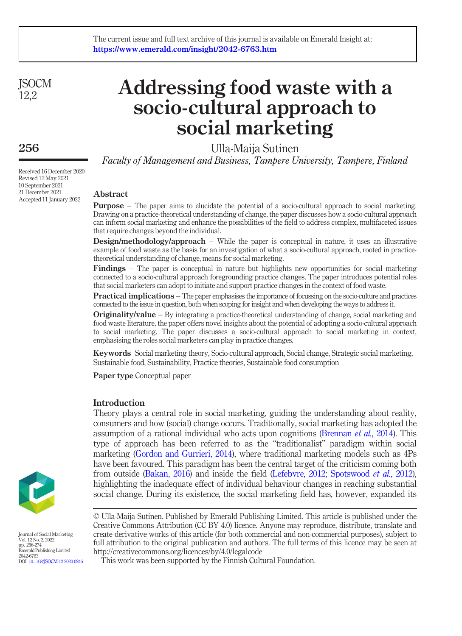**ISOCM** 12,2

# 256

Received 16 December 2020 Revised 12 May 2021 10 September 2021 21 December 2021 Accepted 11 January 2022

# Addressing food waste with a socio-cultural approach to social marketing

Ulla-Maija Sutinen

Faculty of Management and Business, Tampere University, Tampere, Finland

# Abstract

Purpose – The paper aims to elucidate the potential of a socio-cultural approach to social marketing. Drawing on a practice-theoretical understanding of change, the paper discusses how a socio-cultural approach can inform social marketing and enhance the possibilities of the field to address complex, multifaceted issues that require changes beyond the individual.

**Design/methodology/approach** – While the paper is conceptual in nature, it uses an illustrative example of food waste as the basis for an investigation of what a socio-cultural approach, rooted in practicetheoretical understanding of change, means for social marketing.

Findings – The paper is conceptual in nature but highlights new opportunities for social marketing connected to a socio-cultural approach foregrounding practice changes. The paper introduces potential roles that social marketers can adopt to initiate and support practice changes in the context of food waste.

Practical implications – The paper emphasises the importance of focussing on the socio-culture and practices connected to the issue in question, both when scoping for insight and when developing the ways to address it.

Originality/value – By integrating a practice-theoretical understanding of change, social marketing and food waste literature, the paper offers novel insights about the potential of adopting a socio-cultural approach to social marketing. The paper discusses a socio-cultural approach to social marketing in context, emphasising the roles social marketers can play in practice changes.

Keywords Social marketing theory, Socio-cultural approach, Social change, Strategic social marketing, Sustainable food, Sustainability, Practice theories, Sustainable food consumption

Paper type Conceptual paper

# Introduction

Theory plays a central role in social marketing, guiding the understanding about reality, consumers and how (social) change occurs. Traditionally, social marketing has adopted the assumption of a rational individual who acts upon cognitions ([Brennan](#page-14-0) *et al.*, 2014). This type of approach has been referred to as the "traditionalist" paradigm within social marketing ([Gordon and Gurrieri, 2014\)](#page-15-0), where traditional marketing models such as 4Ps have been favoured. This paradigm has been the central target of the criticism coming both from outside [\(Bakan, 2016\)](#page-14-1) and inside the field [\(Lefebvre, 2012;](#page-16-0) [Spotswood](#page-17-0) et al., 2012), highlighting the inadequate effect of individual behaviour changes in reaching substantial social change. During its existence, the social marketing field has, however, expanded its

© Ulla-Maija Sutinen. Published by Emerald Publishing Limited. This article is published under the Creative Commons Attribution (CC BY 4.0) licence. Anyone may reproduce, distribute, translate and create derivative works of this article (for both commercial and non-commercial purposes), subject to full attribution to the original publication and authors. The full terms of this licence may be seen at



Journal of Social Marketing Vol. 12 No. 2, 2022 pp. 256-274 Emerald Publishing Limited 2042-6763 DOI [10.1108/JSOCM-12-2020-0246](http://dx.doi.org/10.1108/JSOCM-12-2020-0246)

http://creativecommons.org/licences/by/4.0/legalcode This work was been supported by the Finnish Cultural Foundation.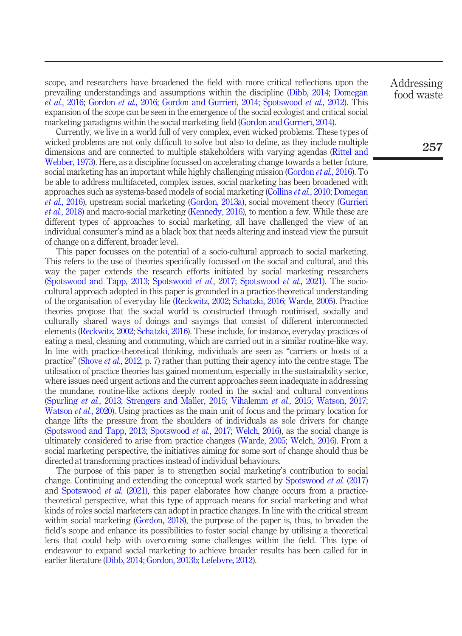scope, and researchers have broadened the field with more critical reflections upon the prevailing understandings and assumptions within the discipline [\(Dibb, 2014](#page-14-2); [Domegan](#page-14-3) et al.[, 2016](#page-14-3); [Gordon](#page-15-1) et al., 2016; [Gordon and Gurrieri, 2014;](#page-15-0) [Spotswood](#page-17-0) et al., 2012). This expansion of the scope can be seen in the emergence of the social ecologist and critical social marketing paradigms within the social marketing field ([Gordon and Gurrieri, 2014\)](#page-15-0).

Currently, we live in a world full of very complex, even wicked problems. These types of wicked problems are not only difficult to solve but also to define, as they include multiple dimensions and are connected to multiple stakeholders with varying agendas [\(Rittel and](#page-17-1) [Webber, 1973](#page-17-1)). Here, as a discipline focussed on accelerating change towards a better future, social marketing has an important while highly challenging mission [\(Gordon](#page-15-1) *et al.*, 2016). To be able to address multifaceted, complex issues, social marketing has been broadened with approaches such as systems-based models of social marketing [\(Collins](#page-14-4) et al., 2010; [Domegan](#page-14-3) et al.[, 2016](#page-14-3)), upstream social marketing [\(Gordon, 2013a\)](#page-15-2), social movement theory ([Gurrieri](#page-15-3) et al.[, 2018\)](#page-15-3) and macro-social marketing [\(Kennedy, 2016](#page-16-1)), to mention a few. While these are different types of approaches to social marketing, all have challenged the view of an individual consumer's mind as a black box that needs altering and instead view the pursuit of change on a different, broader level.

This paper focusses on the potential of a socio-cultural approach to social marketing. This refers to the use of theories specifically focussed on the social and cultural, and this way the paper extends the research efforts initiated by social marketing researchers [\(Spotswood and Tapp, 2013;](#page-17-2) [Spotswood](#page-17-3) et al., 2017; [Spotswood](#page-17-4) et al., 2021). The sociocultural approach adopted in this paper is grounded in a practice-theoretical understanding of the organisation of everyday life [\(Reckwitz, 2002](#page-17-5); [Schatzki, 2016](#page-17-6); [Warde, 2005\)](#page-18-0). Practice theories propose that the social world is constructed through routinised, socially and culturally shared ways of doings and sayings that consist of different interconnected elements ([Reckwitz, 2002](#page-17-5); [Schatzki, 2016\)](#page-17-6). These include, for instance, everyday practices of eating a meal, cleaning and commuting, which are carried out in a similar routine-like way. In line with practice-theoretical thinking, individuals are seen as "carriers or hosts of a practice" [\(Shove](#page-17-7) et al., 2012, p. 7) rather than putting their agency into the centre stage. The utilisation of practice theories has gained momentum, especially in the sustainability sector, where issues need urgent actions and the current approaches seem inadequate in addressing the mundane, routine-like actions deeply rooted in the social and cultural conventions [\(Spurling](#page-17-8) et al., 2013; [Strengers and Maller, 2015](#page-17-9); [Vihalemm](#page-18-1) et al., 2015; [Watson, 2017](#page-18-2); [Watson](#page-18-3) *et al.*, 2020). Using practices as the main unit of focus and the primary location for change lifts the pressure from the shoulders of individuals as sole drivers for change [\(Spotswood and Tapp, 2013;](#page-17-2) [Spotswood](#page-17-3) *et al.*, 2017; [Welch, 2016](#page-18-4)), as the social change is ultimately considered to arise from practice changes ([Warde, 2005](#page-18-0); [Welch, 2016](#page-18-4)). From a social marketing perspective, the initiatives aiming for some sort of change should thus be directed at transforming practices instead of individual behaviours.

The purpose of this paper is to strengthen social marketing's contribution to social change. Continuing and extending the conceptual work started by [Spotswood](#page-17-3) et al. (2017) and [Spotswood](#page-17-4) *et al.* (2021), this paper elaborates how change occurs from a practicetheoretical perspective, what this type of approach means for social marketing and what kinds of roles social marketers can adopt in practice changes. In line with the critical stream within social marketing [\(Gordon, 2018](#page-15-4)), the purpose of the paper is, thus, to broaden the field's scope and enhance its possibilities to foster social change by utilising a theoretical lens that could help with overcoming some challenges within the field. This type of endeavour to expand social marketing to achieve broader results has been called for in earlier literature ([Dibb, 2014;](#page-14-2) [Gordon, 2013b](#page-15-5); [Lefebvre, 2012\)](#page-16-0).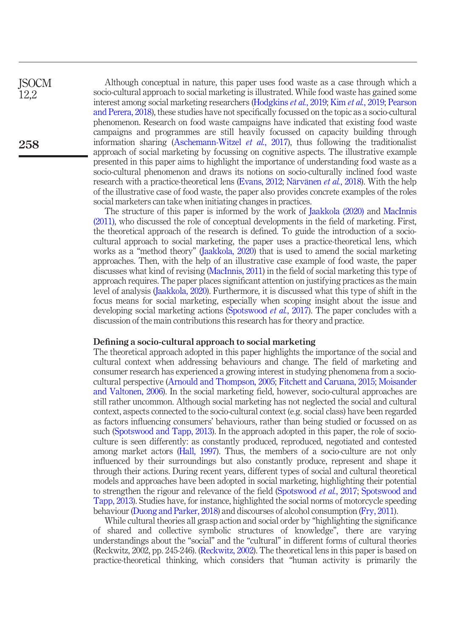Although conceptual in nature, this paper uses food waste as a case through which a socio-cultural approach to social marketing is illustrated. While food waste has gained some interest among social marketing researchers [\(Hodgkins](#page-16-2) et al., 2019; Kim et al.[, 2019;](#page-16-3) [Pearson](#page-16-4) [and Perera, 2018\)](#page-16-4), these studies have not specifically focussed on the topic as a socio-cultural phenomenon. Research on food waste campaigns have indicated that existing food waste campaigns and programmes are still heavily focussed on capacity building through information sharing ([Aschemann-Witzel](#page-14-5) *et al.*, 2017), thus following the traditionalist approach of social marketing by focussing on cognitive aspects. The illustrative example presented in this paper aims to highlight the importance of understanding food waste as a socio-cultural phenomenon and draws its notions on socio-culturally inclined food waste research with a practice-theoretical lens [\(Evans, 2012;](#page-14-6) [Närvänen](#page-16-5) *et al.*, 2018). With the help of the illustrative case of food waste, the paper also provides concrete examples of the roles social marketers can take when initiating changes in practices.

**ISOCM** 12,2

258

The structure of this paper is informed by the work of [Jaakkola \(2020\)](#page-16-6) and [MacInnis](#page-16-7) [\(2011\)](#page-16-7), who discussed the role of conceptual developments in the field of marketing. First, the theoretical approach of the research is defined. To guide the introduction of a sociocultural approach to social marketing, the paper uses a practice-theoretical lens, which works as a "method theory" [\(Jaakkola, 2020](#page-16-6)) that is used to amend the social marketing approaches. Then, with the help of an illustrative case example of food waste, the paper discusses what kind of revising [\(MacInnis, 2011\)](#page-16-7) in the field of social marketing this type of approach requires. The paper places significant attention on justifying practices as the main level of analysis [\(Jaakkola, 2020\)](#page-16-6). Furthermore, it is discussed what this type of shift in the focus means for social marketing, especially when scoping insight about the issue and developing social marketing actions ([Spotswood](#page-17-3) *et al.*, 2017). The paper concludes with a discussion of the main contributions this research has for theory and practice.

#### Defining a socio-cultural approach to social marketing

The theoretical approach adopted in this paper highlights the importance of the social and cultural context when addressing behaviours and change. The field of marketing and consumer research has experienced a growing interest in studying phenomena from a sociocultural perspective [\(Arnould and Thompson, 2005;](#page-13-0) [Fitchett and Caruana, 2015](#page-14-7); [Moisander](#page-16-8) [and Valtonen, 2006\)](#page-16-8). In the social marketing field, however, socio-cultural approaches are still rather uncommon. Although social marketing has not neglected the social and cultural context, aspects connected to the socio-cultural context (e.g. social class) have been regarded as factors influencing consumers' behaviours, rather than being studied or focussed on as such ([Spotswood and Tapp, 2013](#page-17-2)). In the approach adopted in this paper, the role of socioculture is seen differently: as constantly produced, reproduced, negotiated and contested among market actors ([Hall, 1997](#page-15-6)). Thus, the members of a socio-culture are not only influenced by their surroundings but also constantly produce, represent and shape it through their actions. During recent years, different types of social and cultural theoretical models and approaches have been adopted in social marketing, highlighting their potential to strengthen the rigour and relevance of the field ([Spotswood](#page-17-3) *et al.*, 2017; [Spotswood and](#page-17-2) [Tapp, 2013](#page-17-2)). Studies have, for instance, highlighted the social norms of motorcycle speeding behaviour [\(Duong and Parker, 2018\)](#page-14-8) and discourses of alcohol consumption ([Fry, 2011\)](#page-14-9).

While cultural theories all grasp action and social order by "highlighting the significance of shared and collective symbolic structures of knowledge", there are varying understandings about the "social" and the "cultural" in different forms of cultural theories (Reckwitz, 2002, pp. 245-246). [\(Reckwitz, 2002\)](#page-17-5). The theoretical lens in this paper is based on practice-theoretical thinking, which considers that "human activity is primarily the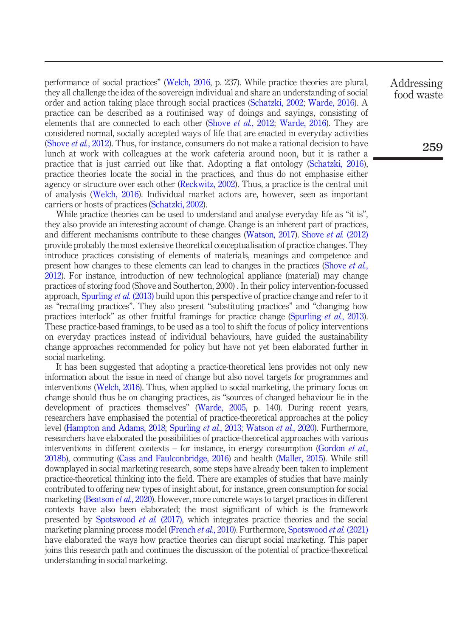performance of social practices" ([Welch, 2016,](#page-18-4) p. 237). While practice theories are plural, they all challenge the idea of the sovereign individual and share an understanding of social order and action taking place through social practices ([Schatzki, 2002](#page-17-10); [Warde, 2016\)](#page-18-5). A practice can be described as a routinised way of doings and sayings, consisting of elements that are connected to each other [\(Shove](#page-17-7) *et al.*, 2012; [Warde, 2016\)](#page-18-5). They are considered normal, socially accepted ways of life that are enacted in everyday activities [\(Shove](#page-17-7) *et al.*, 2012). Thus, for instance, consumers do not make a rational decision to have lunch at work with colleagues at the work cafeteria around noon, but it is rather a practice that is just carried out like that. Adopting a flat ontology ([Schatzki, 2016\)](#page-17-6), practice theories locate the social in the practices, and thus do not emphasise either agency or structure over each other [\(Reckwitz, 2002](#page-17-5)). Thus, a practice is the central unit of analysis ([Welch, 2016](#page-18-4)). Individual market actors are, however, seen as important carriers or hosts of practices [\(Schatzki, 2002](#page-17-10)).

While practice theories can be used to understand and analyse everyday life as "it is". they also provide an interesting account of change. Change is an inherent part of practices, and different mechanisms contribute to these changes ([Watson, 2017](#page-18-2)). [Shove](#page-17-7) et al. (2012) provide probably the most extensive theoretical conceptualisation of practice changes. They introduce practices consisting of elements of materials, meanings and competence and present how changes to these elements can lead to changes in the practices ([Shove](#page-17-7) et al., [2012\)](#page-17-7). For instance, introduction of new technological appliance (material) may change practices of storing food (Shove and Southerton, 2000) . In their policy intervention-focussed approach, [Spurling](#page-17-8) et al. (2013) build upon this perspective of practice change and refer to it as "recrafting practices". They also present "substituting practices" and "changing how practices interlock" as other fruitful framings for practice change [\(Spurling](#page-17-8) et al., 2013). These practice-based framings, to be used as a tool to shift the focus of policy interventions on everyday practices instead of individual behaviours, have guided the sustainability change approaches recommended for policy but have not yet been elaborated further in social marketing.

It has been suggested that adopting a practice-theoretical lens provides not only new information about the issue in need of change but also novel targets for programmes and interventions ([Welch, 2016](#page-18-4)). Thus, when applied to social marketing, the primary focus on change should thus be on changing practices, as "sources of changed behaviour lie in the development of practices themselves" [\(Warde, 2005](#page-18-0), p. 140). During recent years, researchers have emphasised the potential of practice-theoretical approaches at the policy level ([Hampton and Adams, 2018](#page-15-7); [Spurling](#page-17-8) et al., 2013; [Watson](#page-18-3) et al., 2020). Furthermore, researchers have elaborated the possibilities of practice-theoretical approaches with various interventions in different contexts – for instance, in energy consumption [\(Gordon](#page-15-8)  $et \, al$ , [2018b](#page-15-8)), commuting [\(Cass and Faulconbridge, 2016](#page-14-10)) and health [\(Maller, 2015\)](#page-16-9). While still downplayed in social marketing research, some steps have already been taken to implement practice-theoretical thinking into the field. There are examples of studies that have mainly contributed to offering new types of insight about, for instance, green consumption for social marketing [\(Beatson](#page-14-11) *et al.*, 2020). However, more concrete ways to target practices in different contexts have also been elaborated; the most significant of which is the framework presented by [Spotswood](#page-17-3) et al. (2017), which integrates practice theories and the social marketing planning process model ([French](#page-14-12) *et al.*, 2010). Furthermore, [Spotswood](#page-17-4) *et al.* (2021) have elaborated the ways how practice theories can disrupt social marketing. This paper joins this research path and continues the discussion of the potential of practice-theoretical understanding in social marketing.

Addressing food waste

259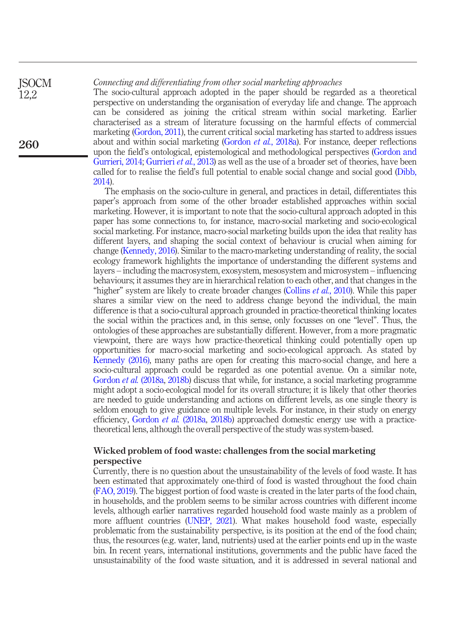#### Connecting and differentiating from other social marketing approaches

The socio-cultural approach adopted in the paper should be regarded as a theoretical perspective on understanding the organisation of everyday life and change. The approach can be considered as joining the critical stream within social marketing. Earlier characterised as a stream of literature focussing on the harmful effects of commercial marketing ([Gordon, 2011\)](#page-15-9), the current critical social marketing has started to address issues about and within social marketing ([Gordon](#page-15-10) et al., 2018a). For instance, deeper reflections upon the field's ontological, epistemological and methodological perspectives [\(Gordon and](#page-15-0) [Gurrieri, 2014;](#page-15-0) [Gurrieri](#page-15-11) et al., 2013) as well as the use of a broader set of theories, have been called for to realise the field's full potential to enable social change and social good [\(Dibb,](#page-14-2) [2014](#page-14-2)).

The emphasis on the socio-culture in general, and practices in detail, differentiates this paper's approach from some of the other broader established approaches within social marketing. However, it is important to note that the socio-cultural approach adopted in this paper has some connections to, for instance, macro-social marketing and socio-ecological social marketing. For instance, macro-social marketing builds upon the idea that reality has different layers, and shaping the social context of behaviour is crucial when aiming for change [\(Kennedy, 2016\)](#page-16-1). Similar to the macro-marketing understanding of reality, the social ecology framework highlights the importance of understanding the different systems and layers – including the macrosystem, exosystem, mesosystem and microsystem – influencing behaviours; it assumes they are in hierarchical relation to each other, and that changes in the "higher" system are likely to create broader changes [\(Collins](#page-14-4) *et al.*, 2010). While this paper shares a similar view on the need to address change beyond the individual, the main difference is that a socio-cultural approach grounded in practice-theoretical thinking locates the social within the practices and, in this sense, only focusses on one "level". Thus, the ontologies of these approaches are substantially different. However, from a more pragmatic viewpoint, there are ways how practice-theoretical thinking could potentially open up opportunities for macro-social marketing and socio-ecological approach. As stated by [Kennedy \(2016\),](#page-16-1) many paths are open for creating this macro-social change, and here a socio-cultural approach could be regarded as one potential avenue. On a similar note, [Gordon](#page-15-10) et al. (2018a, [2018b\)](#page-15-8) discuss that while, for instance, a social marketing programme might adopt a socio-ecological model for its overall structure; it is likely that other theories are needed to guide understanding and actions on different levels, as one single theory is seldom enough to give guidance on multiple levels. For instance, in their study on energy efficiency, [Gordon](#page-15-10) et al. (2018a, [2018b\)](#page-15-8) approached domestic energy use with a practicetheoretical lens, although the overall perspective of the study was system-based.

## Wicked problem of food waste: challenges from the social marketing perspective

Currently, there is no question about the unsustainability of the levels of food waste. It has been estimated that approximately one-third of food is wasted throughout the food chain [\(FAO, 2019\)](#page-14-13). The biggest portion of food waste is created in the later parts of the food chain, in households, and the problem seems to be similar across countries with different income levels, although earlier narratives regarded household food waste mainly as a problem of more affluent countries [\(UNEP, 2021\)](#page-18-6). What makes household food waste, especially problematic from the sustainability perspective, is its position at the end of the food chain; thus, the resources (e.g. water, land, nutrients) used at the earlier points end up in the waste bin. In recent years, international institutions, governments and the public have faced the unsustainability of the food waste situation, and it is addressed in several national and

260

**ISOCM** 12,2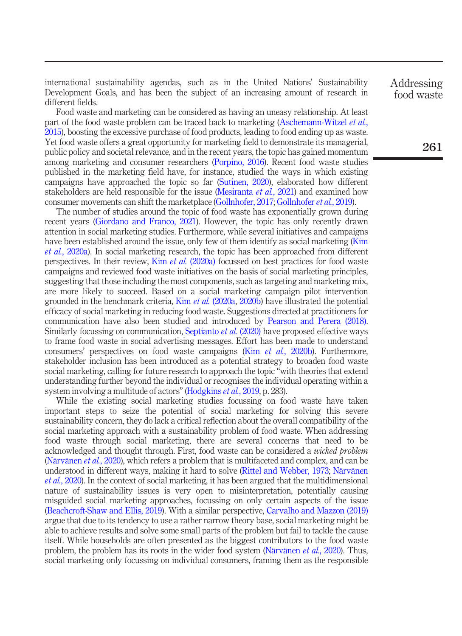international sustainability agendas, such as in the United Nations' Sustainability Development Goals, and has been the subject of an increasing amount of research in different fields.

Food waste and marketing can be considered as having an uneasy relationship. At least part of the food waste problem can be traced back to marketing ([Aschemann-Witzel](#page-13-1) *et al.*, [2015\)](#page-13-1), boosting the excessive purchase of food products, leading to food ending up as waste. Yet food waste offers a great opportunity for marketing field to demonstrate its managerial, public policy and societal relevance, and in the recent years, the topic has gained momentum among marketing and consumer researchers ([Porpino, 2016](#page-16-10)). Recent food waste studies published in the marketing field have, for instance, studied the ways in which existing campaigns have approached the topic so far [\(Sutinen, 2020](#page-17-11)), elaborated how different stakeholders are held responsible for the issue [\(Mesiranta](#page-16-11) *et al.*, 2021) and examined how consumer movements can shift the marketplace ([Gollnhofer, 2017](#page-15-12); [Gollnhofer](#page-15-13) et al., 2019).

The number of studies around the topic of food waste has exponentially grown during recent years [\(Giordano and Franco, 2021\)](#page-15-14). However, the topic has only recently drawn attention in social marketing studies. Furthermore, while several initiatives and campaigns have been established around the issue, only few of them identify as social marketing ([Kim](#page-16-12) et al.[, 2020a\)](#page-16-12). In social marketing research, the topic has been approached from different perspectives. In their review, Kim et al. [\(2020a\)](#page-16-12) focussed on best practices for food waste campaigns and reviewed food waste initiatives on the basis of social marketing principles, suggesting that those including the most components, such as targeting and marketing mix, are more likely to succeed. Based on a social marketing campaign pilot intervention grounded in the benchmark criteria, Kim et al.  $(2020a, 2020b)$  $(2020a, 2020b)$  $(2020a, 2020b)$  $(2020a, 2020b)$  have illustrated the potential efficacy of social marketing in reducing food waste. Suggestions directed at practitioners for communication have also been studied and introduced by [Pearson and Perera \(2018\)](#page-16-4). Similarly focussing on communication, [Septianto](#page-17-12) *et al.* (2020) have proposed effective ways to frame food waste in social advertising messages. Effort has been made to understand consumers' perspectives on food waste campaigns (Kim et al.[, 2020b](#page-16-13)). Furthermore, stakeholder inclusion has been introduced as a potential strategy to broaden food waste social marketing, calling for future research to approach the topic "with theories that extend understanding further beyond the individual or recognises the individual operating within a system involving a multitude of actors" ([Hodgkins](#page-16-2) *et al.*, 2019, p. 283).

While the existing social marketing studies focussing on food waste have taken important steps to seize the potential of social marketing for solving this severe sustainability concern, they do lack a critical reflection about the overall compatibility of the social marketing approach with a sustainability problem of food waste. When addressing food waste through social marketing, there are several concerns that need to be acknowledged and thought through. First, food waste can be considered a wicked problem [\(Närvänen](#page-16-14) *et al.*, 2020), which refers a problem that is multifaceted and complex, and can be understood in different ways, making it hard to solve ([Rittel and Webber, 1973](#page-17-1); [Närvänen](#page-16-14) et al.[, 2020\)](#page-16-14). In the context of social marketing, it has been argued that the multidimensional nature of sustainability issues is very open to misinterpretation, potentially causing misguided social marketing approaches, focussing on only certain aspects of the issue [\(Beachcroft-Shaw and Ellis, 2019\)](#page-14-14). With a similar perspective, [Carvalho and Mazzon \(2019\)](#page-14-15) argue that due to its tendency to use a rather narrow theory base, social marketing might be able to achieve results and solve some small parts of the problem but fail to tackle the cause itself. While households are often presented as the biggest contributors to the food waste problem, the problem has its roots in the wider food system ([Närvänen](#page-16-14) et al., 2020). Thus, social marketing only focussing on individual consumers, framing them as the responsible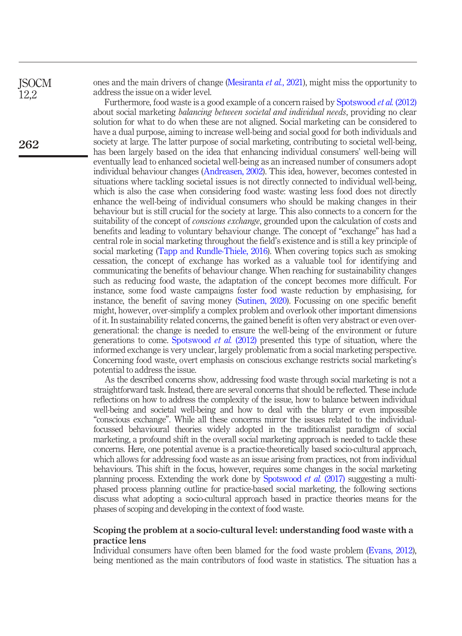**ISOCM** 12,2

262

ones and the main drivers of change [\(Mesiranta](#page-16-11) et al., 2021), might miss the opportunity to address the issue on a wider level.

Furthermore, food waste is a good example of a concern raised by [Spotswood](#page-17-0) et al. (2012) about social marketing balancing between societal and individual needs, providing no clear solution for what to do when these are not aligned. Social marketing can be considered to have a dual purpose, aiming to increase well-being and social good for both individuals and society at large. The latter purpose of social marketing, contributing to societal well-being, has been largely based on the idea that enhancing individual consumers' well-being will eventually lead to enhanced societal well-being as an increased number of consumers adopt individual behaviour changes [\(Andreasen, 2002\)](#page-13-2). This idea, however, becomes contested in situations where tackling societal issues is not directly connected to individual well-being, which is also the case when considering food waste: wasting less food does not directly enhance the well-being of individual consumers who should be making changes in their behaviour but is still crucial for the society at large. This also connects to a concern for the suitability of the concept of *conscious exchange*, grounded upon the calculation of costs and benefits and leading to voluntary behaviour change. The concept of "exchange" has had a central role in social marketing throughout the field's existence and is still a key principle of social marketing ([Tapp and Rundle-Thiele, 2016\)](#page-17-13). When covering topics such as smoking cessation, the concept of exchange has worked as a valuable tool for identifying and communicating the benefits of behaviour change. When reaching for sustainability changes such as reducing food waste, the adaptation of the concept becomes more difficult. For instance, some food waste campaigns foster food waste reduction by emphasising, for instance, the benefit of saving money [\(Sutinen, 2020](#page-17-11)). Focussing on one specific benefit might, however, over-simplify a complex problem and overlook other important dimensions of it. In sustainability related concerns, the gained benefit is often very abstract or even overgenerational: the change is needed to ensure the well-being of the environment or future generations to come. [Spotswood](#page-17-0) *et al.*  $(2012)$  presented this type of situation, where the informed exchange is very unclear, largely problematic from a social marketing perspective. Concerning food waste, overt emphasis on conscious exchange restricts social marketing's potential to address the issue.

As the described concerns show, addressing food waste through social marketing is not a straightforward task. Instead, there are several concerns that should be reflected. These include reflections on how to address the complexity of the issue, how to balance between individual well-being and societal well-being and how to deal with the blurry or even impossible "conscious exchange". While all these concerns mirror the issues related to the individualfocussed behavioural theories widely adopted in the traditionalist paradigm of social marketing, a profound shift in the overall social marketing approach is needed to tackle these concerns. Here, one potential avenue is a practice-theoretically based socio-cultural approach, which allows for addressing food waste as an issue arising from practices, not from individual behaviours. This shift in the focus, however, requires some changes in the social marketing planning process. Extending the work done by [Spotswood](#page-17-3) et al. (2017) suggesting a multiphased process planning outline for practice-based social marketing, the following sections discuss what adopting a socio-cultural approach based in practice theories means for the phases of scoping and developing in the context of food waste.

#### Scoping the problem at a socio-cultural level: understanding food waste with a practice lens

Individual consumers have often been blamed for the food waste problem ([Evans, 2012\)](#page-14-6), being mentioned as the main contributors of food waste in statistics. The situation has a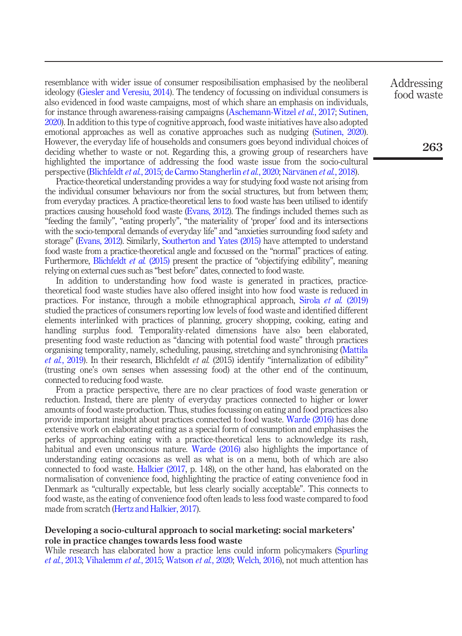resemblance with wider issue of consumer resposibilisation emphasised by the neoliberal ideology [\(Giesler and Veresiu, 2014](#page-15-15)). The tendency of focussing on individual consumers is also evidenced in food waste campaigns, most of which share an emphasis on individuals, for instance through awareness-raising campaigns [\(Aschemann-Witzel](#page-14-5) *et al.*, 2017; [Sutinen,](#page-17-11) [2020\)](#page-17-11). In addition to this type of cognitive approach, food waste initiatives have also adopted emotional approaches as well as conative approaches such as nudging [\(Sutinen, 2020\)](#page-17-11). However, the everyday life of households and consumers goes beyond individual choices of deciding whether to waste or not. Regarding this, a growing group of researchers have highlighted the importance of addressing the food waste issue from the socio-cultural perspective [\(Blichfeldt](#page-14-16) et al., 2015; [de Carmo Stangherlin](#page-14-17) et al., 2020; [Närvänen](#page-16-5) et al., 2018).

Practice-theoretical understanding provides a way for studying food waste not arising from the individual consumer behaviours nor from the social structures, but from between them; from everyday practices. A practice-theoretical lens to food waste has been utilised to identify practices causing household food waste ([Evans, 2012\)](#page-14-6). The findings included themes such as "feeding the family", "eating properly", "the materiality of 'proper' food and its intersections with the socio-temporal demands of everyday life" and "anxieties surrounding food safety and storage" [\(Evans, 2012](#page-14-6)). Similarly, [Southerton and Yates \(2015\)](#page-17-14) have attempted to understand food waste from a practice-theoretical angle and focussed on the "normal" practices of eating. Furthermore, [Blichfeldt](#page-14-16) et al. (2015) present the practice of "objectifying edibility", meaning relying on external cues such as "best before" dates, connected to food waste.

In addition to understanding how food waste is generated in practices, practicetheoretical food waste studies have also offered insight into how food waste is reduced in practices. For instance, through a mobile ethnographical approach, Sirola et al. [\(2019\)](#page-17-15) studied the practices of consumers reporting low levels of food waste and identified different elements interlinked with practices of planning, grocery shopping, cooking, eating and handling surplus food. Temporality-related dimensions have also been elaborated, presenting food waste reduction as "dancing with potential food waste" through practices organising temporality, namely, scheduling, pausing, stretching and synchronising ([Mattila](#page-16-15) et al.[, 2019](#page-16-15)). In their research, Blichfeldt et al. (2015) identify "internalization of edibility" (trusting one's own senses when assessing food) at the other end of the continuum, connected to reducing food waste.

From a practice perspective, there are no clear practices of food waste generation or reduction. Instead, there are plenty of everyday practices connected to higher or lower amounts of food waste production. Thus, studies focussing on eating and food practices also provide important insight about practices connected to food waste. [Warde \(2016\)](#page-18-5) has done extensive work on elaborating eating as a special form of consumption and emphasises the perks of approaching eating with a practice-theoretical lens to acknowledge its rash, habitual and even unconscious nature. [Warde \(2016\)](#page-18-5) also highlights the importance of understanding eating occasions as well as what is on a menu, both of which are also connected to food waste. [Halkier \(2017](#page-15-16), p. 148), on the other hand, has elaborated on the normalisation of convenience food, highlighting the practice of eating convenience food in Denmark as "culturally expectable, but less clearly socially acceptable". This connects to food waste, as the eating of convenience food often leads to less food waste compared to food made from scratch [\(Hertz and Halkier, 2017\)](#page-15-17).

### Developing a socio-cultural approach to social marketing: social marketers' role in practice changes towards less food waste

While research has elaborated how a practice lens could inform policymakers [\(Spurling](#page-17-8) et al.[, 2013](#page-17-8); [Vihalemm](#page-18-1) et al., 2015; [Watson](#page-18-3) et al., 2020; [Welch, 2016\)](#page-18-4), not much attention has Addressing food waste

263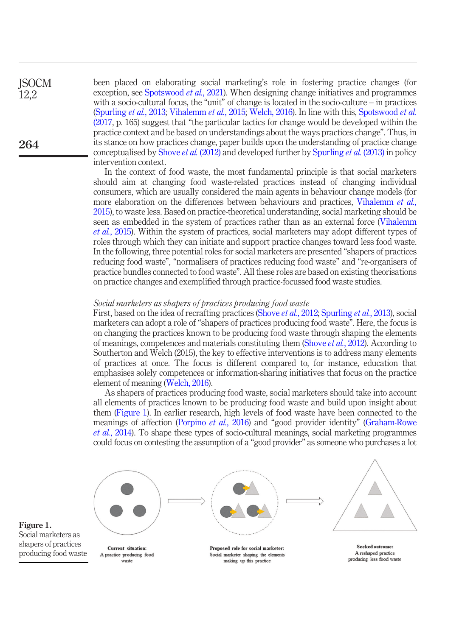been placed on elaborating social marketing's role in fostering practice changes (for exception, see [Spotswood](#page-17-4) *et al.*, 2021). When designing change initiatives and programmes with a socio-cultural focus, the "unit" of change is located in the socio-culture – in practices [\(Spurling](#page-17-8) et al., 2013; [Vihalemm](#page-18-1) et al., 2015; [Welch, 2016](#page-18-4)). In line with this, [Spotswood](#page-17-3) et al. [\(2017,](#page-17-3) p. 165) suggest that "the particular tactics for change would be developed within the practice context and be based on understandings about the ways practices change". Thus, in its stance on how practices change, paper builds upon the understanding of practice change conceptualised by [Shove](#page-17-7) *et al.* (2012) and developed further by [Spurling](#page-17-8) *et al.* (2013) in policy intervention context.

In the context of food waste, the most fundamental principle is that social marketers should aim at changing food waste-related practices instead of changing individual consumers, which are usually considered the main agents in behaviour change models (for more elaboration on the differences between behaviours and practices, [Vihalemm](#page-18-1) et al., [2015](#page-18-1)), to waste less. Based on practice-theoretical understanding, social marketing should be seen as embedded in the system of practices rather than as an external force ([Vihalemm](#page-18-1) et al.[, 2015](#page-18-1)). Within the system of practices, social marketers may adopt different types of roles through which they can initiate and support practice changes toward less food waste. In the following, three potential roles for social marketers are presented "shapers of practices reducing food waste", "normalisers of practices reducing food waste" and "re-organisers of practice bundles connected to food waste". All these roles are based on existing theorisations on practice changes and exemplified through practice-focussed food waste studies.

#### Social marketers as shapers of practices producing food waste

First, based on the idea of recrafting practices ([Shove](#page-17-7) et al., 2012; [Spurling](#page-17-8) et al., 2013), social marketers can adopt a role of "shapers of practices producing food waste". Here, the focus is on changing the practices known to be producing food waste through shaping the elements of meanings, competences and materials constituting them [\(Shove](#page-17-7) et al., 2012). According to Southerton and Welch (2015), the key to effective interventions is to address many elements of practices at once. The focus is different compared to, for instance, education that emphasises solely competences or information-sharing initiatives that focus on the practice element of meaning [\(Welch, 2016\)](#page-18-4).

As shapers of practices producing food waste, social marketers should take into account all elements of practices known to be producing food waste and build upon insight about them [\(Figure 1\)](#page-8-0). In earlier research, high levels of food waste have been connected to the meanings of affection [\(Porpino](#page-16-16) et al., 2016) and "good provider identity" ([Graham-Rowe](#page-15-18) et al.[, 2014\)](#page-15-18). To shape these types of socio-cultural meanings, social marketing programmes could focus on contesting the assumption of a "good provider" as someone who purchases a lot



<span id="page-8-0"></span>Figure 1. Social marketers as shapers of practices producing food waste

264

**ISOCM** 12,2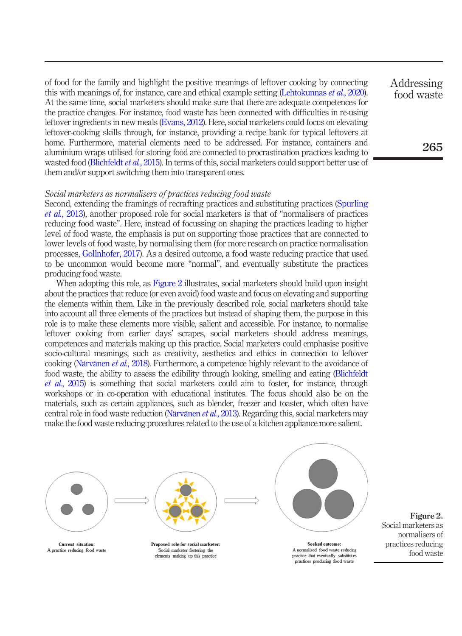of food for the family and highlight the positive meanings of leftover cooking by connecting this with meanings of, for instance, care and ethical example setting [\(Lehtokunnas](#page-16-17) et al., 2020). At the same time, social marketers should make sure that there are adequate competences for the practice changes. For instance, food waste has been connected with difficulties in re-using leftover ingredients in new meals ([Evans, 2012\)](#page-14-6). Here, social marketers could focus on elevating leftover-cooking skills through, for instance, providing a recipe bank for typical leftovers at home. Furthermore, material elements need to be addressed. For instance, containers and aluminium wraps utilised for storing food are connected to procrastination practices leading to wasted food [\(Blichfeldt](#page-14-16) et al., 2015). In terms of this, social marketers could support better use of them and/or support switching them into transparent ones.

#### Social marketers as normalisers of practices reducing food waste

Second, extending the framings of recrafting practices and substituting practices [\(Spurling](#page-17-8) et al.[, 2013\)](#page-17-8), another proposed role for social marketers is that of "normalisers of practices reducing food waste". Here, instead of focussing on shaping the practices leading to higher level of food waste, the emphasis is put on supporting those practices that are connected to lower levels of food waste, by normalising them (for more research on practice normalisation processes, [Gollnhofer, 2017](#page-15-12)). As a desired outcome, a food waste reducing practice that used to be uncommon would become more "normal", and eventually substitute the practices producing food waste.

When adopting this role, as [Figure 2](#page-9-0) illustrates, social marketers should build upon insight about the practices that reduce (or even avoid) food waste and focus on elevating and supporting the elements within them. Like in the previously described role, social marketers should take into account all three elements of the practices but instead of shaping them, the purpose in this role is to make these elements more visible, salient and accessible. For instance, to normalise leftover cooking from earlier days' scrapes, social marketers should address meanings, competences and materials making up this practice. Social marketers could emphasise positive socio-cultural meanings, such as creativity, aesthetics and ethics in connection to leftover cooking [\(Närvänen](#page-16-5) et al., 2018). Furthermore, a competence highly relevant to the avoidance of food waste, the ability to assess the edibility through looking, smelling and eating [\(Blichfeldt](#page-14-16) et al.[, 2015\)](#page-14-16) is something that social marketers could aim to foster, for instance, through workshops or in co-operation with educational institutes. The focus should also be on the materials, such as certain appliances, such as blender, freezer and toaster, which often have central role in food waste reduction [\(Närvänen](#page-16-18) et al., 2013). Regarding this, social marketers may make the food waste reducing procedures related to the use of a kitchen appliance more salient.



<span id="page-9-0"></span>Figure 2. Social marketers as normalisers of practices reducing food waste

practices producing food waste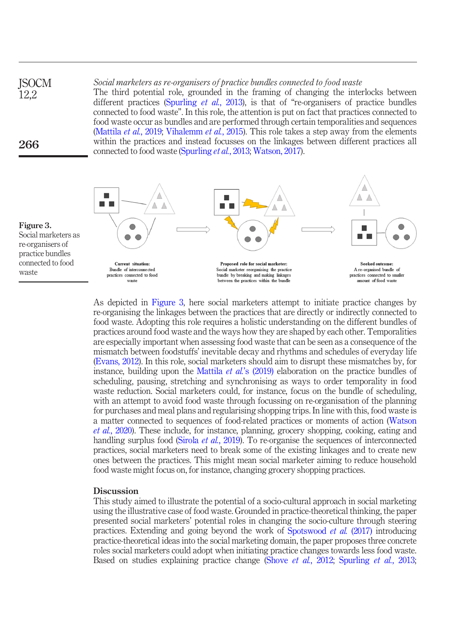Social marketers as re-organisers of practice bundles connected to food waste The third potential role, grounded in the framing of changing the interlocks between different practices ([Spurling](#page-17-8) et al., 2013), is that of "re-organisers of practice bundles connected to food waste". In this role, the attention is put on fact that practices connected to food waste occur as bundles and are performed through certain temporalities and sequences [\(Mattila](#page-16-15) *et al.*, 2019; [Vihalemm](#page-18-1) *et al.*, 2015). This role takes a step away from the elements within the practices and instead focusses on the linkages between different practices all connected to food waste [\(Spurling](#page-17-8) et al., 2013; [Watson, 2017](#page-18-2)). **ISOCM** 12,2 266



<span id="page-10-0"></span>Figure 3. Social marketers as re-organisers of practice bundles connected to food waste

> As depicted in [Figure 3,](#page-10-0) here social marketers attempt to initiate practice changes by re-organising the linkages between the practices that are directly or indirectly connected to food waste. Adopting this role requires a holistic understanding on the different bundles of practices around food waste and the ways how they are shaped by each other. Temporalities are especially important when assessing food waste that can be seen as a consequence of the mismatch between foodstuffs' inevitable decay and rhythms and schedules of everyday life [\(Evans, 2012](#page-14-6)). In this role, social marketers should aim to disrupt these mismatches by, for instance, building upon the Mattila *et al.*'[s \(2019\)](#page-16-15) elaboration on the practice bundles of scheduling, pausing, stretching and synchronising as ways to order temporality in food waste reduction. Social marketers could, for instance, focus on the bundle of scheduling, with an attempt to avoid food waste through focussing on re-organisation of the planning for purchases and meal plans and regularising shopping trips. In line with this, food waste is a matter connected to sequences of food-related practices or moments of action ([Watson](#page-18-3) et al.[, 2020\)](#page-18-3). These include, for instance, planning, grocery shopping, cooking, eating and handling surplus food [\(Sirola](#page-17-15) *et al.*, 2019). To re-organise the sequences of interconnected practices, social marketers need to break some of the existing linkages and to create new ones between the practices. This might mean social marketer aiming to reduce household food waste might focus on, for instance, changing grocery shopping practices.

#### **Discussion**

This study aimed to illustrate the potential of a socio-cultural approach in social marketing using the illustrative case of food waste. Grounded in practice-theoretical thinking, the paper presented social marketers' potential roles in changing the socio-culture through steering practices. Extending and going beyond the work of [Spotswood](#page-17-3) et al. (2017) introducing practice-theoretical ideas into the social marketing domain, the paper proposes three concrete roles social marketers could adopt when initiating practice changes towards less food waste. Based on studies explaining practice change (Shove et al.[, 2012;](#page-17-7) [Spurling](#page-17-8) et al., 2013;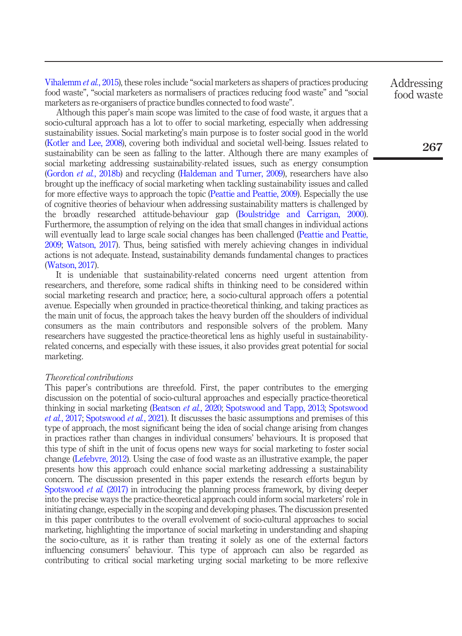[Vihalemm](#page-18-1) et al., 2015), these roles include "social marketers as shapers of practices producing food waste", "social marketers as normalisers of practices reducing food waste" and "social marketers as re-organisers of practice bundles connected to food waste".

Although this paper's main scope was limited to the case of food waste, it argues that a socio-cultural approach has a lot to offer to social marketing, especially when addressing sustainability issues. Social marketing's main purpose is to foster social good in the world [\(Kotler and Lee, 2008\)](#page-16-19), covering both individual and societal well-being. Issues related to sustainability can be seen as falling to the latter. Although there are many examples of social marketing addressing sustainability-related issues, such as energy consumption [\(Gordon](#page-15-8) et al., 2018b) and recycling ([Haldeman and Turner, 2009](#page-15-19)), researchers have also brought up the inefficacy of social marketing when tackling sustainability issues and called for more effective ways to approach the topic ([Peattie and Peattie, 2009\)](#page-16-20). Especially the use of cognitive theories of behaviour when addressing sustainability matters is challenged by the broadly researched attitude-behaviour gap ([Boulstridge and Carrigan, 2000\)](#page-14-18). Furthermore, the assumption of relying on the idea that small changes in individual actions will eventually lead to large scale social changes has been challenged ([Peattie and Peattie,](#page-16-20) [2009;](#page-16-20) [Watson, 2017\)](#page-18-2). Thus, being satisfied with merely achieving changes in individual actions is not adequate. Instead, sustainability demands fundamental changes to practices [\(Watson, 2017](#page-18-2)).

It is undeniable that sustainability-related concerns need urgent attention from researchers, and therefore, some radical shifts in thinking need to be considered within social marketing research and practice; here, a socio-cultural approach offers a potential avenue. Especially when grounded in practice-theoretical thinking, and taking practices as the main unit of focus, the approach takes the heavy burden off the shoulders of individual consumers as the main contributors and responsible solvers of the problem. Many researchers have suggested the practice-theoretical lens as highly useful in sustainabilityrelated concerns, and especially with these issues, it also provides great potential for social marketing.

#### Theoretical contributions

This paper's contributions are threefold. First, the paper contributes to the emerging discussion on the potential of socio-cultural approaches and especially practice-theoretical thinking in social marketing ([Beatson](#page-14-11) et al., 2020; [Spotswood and Tapp, 2013;](#page-17-2) [Spotswood](#page-17-3) et al.[, 2017;](#page-17-3) [Spotswood](#page-17-4) et al., 2021). It discusses the basic assumptions and premises of this type of approach, the most significant being the idea of social change arising from changes in practices rather than changes in individual consumers' behaviours. It is proposed that this type of shift in the unit of focus opens new ways for social marketing to foster social change ([Lefebvre, 2012](#page-16-0)). Using the case of food waste as an illustrative example, the paper presents how this approach could enhance social marketing addressing a sustainability concern. The discussion presented in this paper extends the research efforts begun by [Spotswood](#page-17-3) *et al.* (2017) in introducing the planning process framework, by diving deeper into the precise ways the practice-theoretical approach could inform social marketers' role in initiating change, especially in the scoping and developing phases. The discussion presented in this paper contributes to the overall evolvement of socio-cultural approaches to social marketing, highlighting the importance of social marketing in understanding and shaping the socio-culture, as it is rather than treating it solely as one of the external factors influencing consumers' behaviour. This type of approach can also be regarded as contributing to critical social marketing urging social marketing to be more reflexive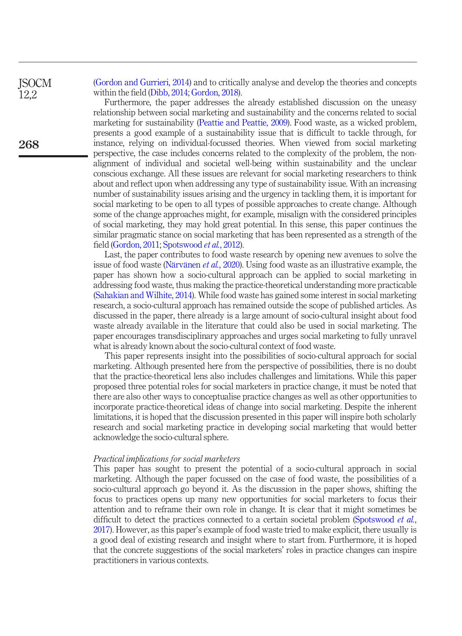[\(Gordon and Gurrieri, 2014](#page-15-0)) and to critically analyse and develop the theories and concepts within the field ([Dibb, 2014;](#page-14-2) [Gordon, 2018](#page-15-4)).

Furthermore, the paper addresses the already established discussion on the uneasy relationship between social marketing and sustainability and the concerns related to social marketing for sustainability ([Peattie and Peattie, 2009\)](#page-16-20). Food waste, as a wicked problem, presents a good example of a sustainability issue that is difficult to tackle through, for instance, relying on individual-focussed theories. When viewed from social marketing perspective, the case includes concerns related to the complexity of the problem, the nonalignment of individual and societal well-being within sustainability and the unclear conscious exchange. All these issues are relevant for social marketing researchers to think about and reflect upon when addressing any type of sustainability issue. With an increasing number of sustainability issues arising and the urgency in tackling them, it is important for social marketing to be open to all types of possible approaches to create change. Although some of the change approaches might, for example, misalign with the considered principles of social marketing, they may hold great potential. In this sense, this paper continues the similar pragmatic stance on social marketing that has been represented as a strength of the field ([Gordon, 2011;](#page-15-9) [Spotswood](#page-17-0) et al., 2012).

Last, the paper contributes to food waste research by opening new avenues to solve the issue of food waste ([Närvänen](#page-16-14) et al., 2020). Using food waste as an illustrative example, the paper has shown how a socio-cultural approach can be applied to social marketing in addressing food waste, thus making the practice-theoretical understanding more practicable [\(Sahakian and Wilhite, 2014](#page-17-16)). While food waste has gained some interest in social marketing research, a socio-cultural approach has remained outside the scope of published articles. As discussed in the paper, there already is a large amount of socio-cultural insight about food waste already available in the literature that could also be used in social marketing. The paper encourages transdisciplinary approaches and urges social marketing to fully unravel what is already known about the socio-cultural context of food waste.

This paper represents insight into the possibilities of socio-cultural approach for social marketing. Although presented here from the perspective of possibilities, there is no doubt that the practice-theoretical lens also includes challenges and limitations. While this paper proposed three potential roles for social marketers in practice change, it must be noted that there are also other ways to conceptualise practice changes as well as other opportunities to incorporate practice-theoretical ideas of change into social marketing. Despite the inherent limitations, it is hoped that the discussion presented in this paper will inspire both scholarly research and social marketing practice in developing social marketing that would better acknowledge the socio-cultural sphere.

#### Practical implications for social marketers

This paper has sought to present the potential of a socio-cultural approach in social marketing. Although the paper focussed on the case of food waste, the possibilities of a socio-cultural approach go beyond it. As the discussion in the paper shows, shifting the focus to practices opens up many new opportunities for social marketers to focus their attention and to reframe their own role in change. It is clear that it might sometimes be difficult to detect the practices connected to a certain societal problem ([Spotswood](#page-17-3) et al., [2017](#page-17-3)). However, as this paper's example of food waste tried to make explicit, there usually is a good deal of existing research and insight where to start from. Furthermore, it is hoped that the concrete suggestions of the social marketers' roles in practice changes can inspire practitioners in various contexts.

**ISOCM** 12,2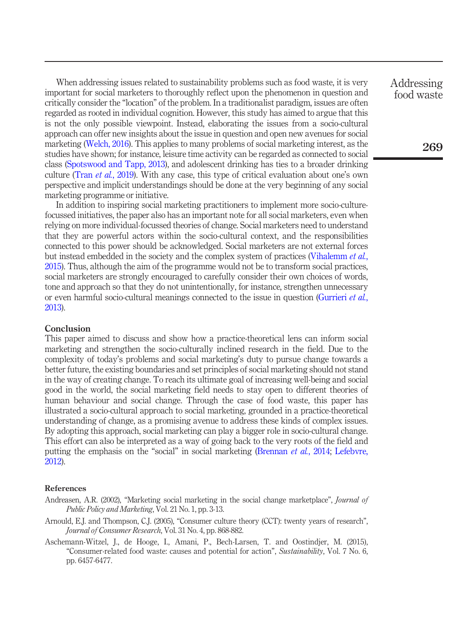When addressing issues related to sustainability problems such as food waste, it is very important for social marketers to thoroughly reflect upon the phenomenon in question and critically consider the "location" of the problem. In a traditionalist paradigm, issues are often regarded as rooted in individual cognition. However, this study has aimed to argue that this is not the only possible viewpoint. Instead, elaborating the issues from a socio-cultural approach can offer new insights about the issue in question and open new avenues for social marketing ([Welch, 2016](#page-18-4)). This applies to many problems of social marketing interest, as the studies have shown; for instance, leisure time activity can be regarded as connected to social class ([Spotswood and Tapp, 2013](#page-17-2)), and adolescent drinking has ties to a broader drinking culture (Tran *et al.*[, 2019\)](#page-17-17). With any case, this type of critical evaluation about one's own perspective and implicit understandings should be done at the very beginning of any social marketing programme or initiative.

In addition to inspiring social marketing practitioners to implement more socio-culturefocussed initiatives, the paper also has an important note for all social marketers, even when relying on more individual-focussed theories of change. Social marketers need to understand that they are powerful actors within the socio-cultural context, and the responsibilities connected to this power should be acknowledged. Social marketers are not external forces but instead embedded in the society and the complex system of practices ([Vihalemm](#page-18-1) et al., [2015\)](#page-18-1). Thus, although the aim of the programme would not be to transform social practices, social marketers are strongly encouraged to carefully consider their own choices of words, tone and approach so that they do not unintentionally, for instance, strengthen unnecessary or even harmful socio-cultural meanings connected to the issue in question [\(Gurrieri](#page-15-11) et al., [2013\)](#page-15-11).

#### **Conclusion**

This paper aimed to discuss and show how a practice-theoretical lens can inform social marketing and strengthen the socio-culturally inclined research in the field. Due to the complexity of today's problems and social marketing's duty to pursue change towards a better future, the existing boundaries and set principles of social marketing should not stand in the way of creating change. To reach its ultimate goal of increasing well-being and social good in the world, the social marketing field needs to stay open to different theories of human behaviour and social change. Through the case of food waste, this paper has illustrated a socio-cultural approach to social marketing, grounded in a practice-theoretical understanding of change, as a promising avenue to address these kinds of complex issues. By adopting this approach, social marketing can play a bigger role in socio-cultural change. This effort can also be interpreted as a way of going back to the very roots of the field and putting the emphasis on the "social" in social marketing ([Brennan](#page-14-0) *et al.*, 2014; [Lefebvre,](#page-16-0) [2012\)](#page-16-0).

#### References

- <span id="page-13-2"></span>Andreasen, A.R. (2002), "Marketing social marketing in the social change marketplace", *Journal of* Public Policy and Marketing, Vol. 21 No. 1, pp. 3-13.
- <span id="page-13-0"></span>Arnould, E.J. and Thompson, C.J. (2005), "Consumer culture theory (CCT): twenty years of research", Journal of Consumer Research, Vol. 31 No. 4, pp. 868-882.
- <span id="page-13-1"></span>Aschemann-Witzel, J., de Hooge, I., Amani, P., Bech-Larsen, T. and Oostindjer, M. (2015), "Consumer-related food waste: causes and potential for action", Sustainability, Vol. 7 No. 6, pp. 6457-6477.

Addressing food waste

269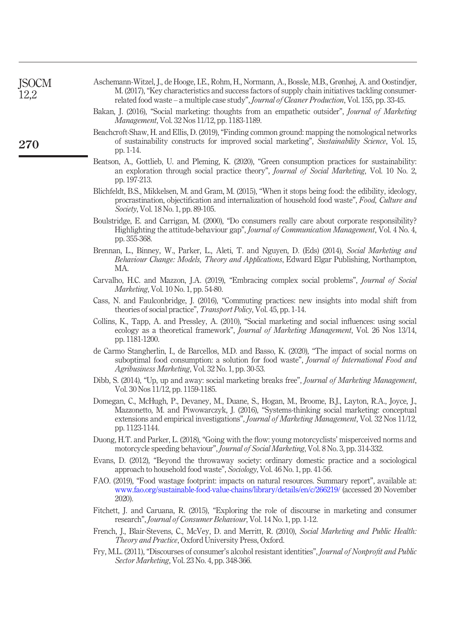<span id="page-14-18"></span><span id="page-14-16"></span><span id="page-14-14"></span><span id="page-14-11"></span><span id="page-14-5"></span><span id="page-14-1"></span><span id="page-14-0"></span>

| <b>JSOCM</b><br>12,2 | Aschemann-Witzel, J., de Hooge, I.E., Rohm, H., Normann, A., Bossle, M.B., Grønhøj, A. and Oostindjer,<br>M. (2017), "Key characteristics and success factors of supply chain initiatives tackling consumer-<br>related food waste – a multiple case study", <i>Journal of Cleaner Production</i> , Vol. 155, pp. 33-45. |
|----------------------|--------------------------------------------------------------------------------------------------------------------------------------------------------------------------------------------------------------------------------------------------------------------------------------------------------------------------|
|                      | Bakan, J. (2016), "Social marketing: thoughts from an empathetic outsider", Journal of Marketing<br><i>Management, Vol. 32 Nos 11/12, pp. 1183-1189.</i>                                                                                                                                                                 |
| 270                  | Beachcroft-Shaw, H. and Ellis, D. (2019), "Finding common ground: mapping the nomological networks<br>of sustainability constructs for improved social marketing", Sustainability Science, Vol. 15,<br>pp. 1-14.                                                                                                         |
|                      | Beatson, A., Gottlieb, U. and Pleming, K. (2020), "Green consumption practices for sustainability:<br>an exploration through social practice theory", Journal of Social Marketing, Vol. 10 No. 2,<br>pp. 197-213.                                                                                                        |
|                      | Blichfeldt, B.S., Mikkelsen, M. and Gram, M. (2015), "When it stops being food: the edibility, ideology,<br>procrastination, objectification and internalization of household food waste", Food, Culture and<br>Society, Vol. 18 No. 1, pp. 89-105.                                                                      |
|                      | Boulstridge, E. and Carrigan, M. (2000), "Do consumers really care about corporate responsibility?<br>Highlighting the attitude-behaviour gap", Journal of Communication Management, Vol. 4 No. 4,<br>pp. 355-368.                                                                                                       |
|                      | Brennan, L., Binney, W., Parker, L., Aleti, T. and Nguyen, D. (Eds) (2014), Social Marketing and<br>Behaviour Change: Models, Theory and Applications, Edward Elgar Publishing, Northampton,<br>MA.                                                                                                                      |
|                      | Carvalho, H.C. and Mazzon, J.A. (2019), "Embracing complex social problems", <i>Journal of Social</i><br><i>Marketing</i> , Vol. 10 No. 1, pp. 54-80.                                                                                                                                                                    |
|                      | Cass, N. and Faulconbridge, J. (2016), "Commuting practices: new insights into modal shift from<br>theories of social practice", <i>Transport Policy</i> , Vol. 45, pp. 1-14.                                                                                                                                            |
|                      | Collins, K., Tapp, A. and Pressley, A. (2010), "Social marketing and social influences: using social<br>ecology as a theoretical framework", <i>Journal of Marketing Management</i> , Vol. 26 Nos 13/14,<br>pp. 1181-1200.                                                                                               |
|                      | de Carmo Stangherlin, I., de Barcellos, M.D. and Basso, K. (2020), "The impact of social norms on<br>suboptimal food consumption: a solution for food waste", Journal of International Food and<br>Agribusiness Marketing, Vol. 32 No. 1, pp. 30-53.                                                                     |
|                      | Dibb, S. (2014), "Up, up and away: social marketing breaks free", <i>Journal of Marketing Management</i> ,<br>Vol. 30 Nos 11/12, pp. 1159-1185.                                                                                                                                                                          |
|                      | Domegan, C., McHugh, P., Devaney, M., Duane, S., Hogan, M., Broome, B.J., Layton, R.A., Joyce, J.,<br>Mazzonetto, M. and Piwowarczyk, J. (2016), "Systems-thinking social marketing: conceptual<br>extensions and empirical investigations", Journal of Marketing Management, Vol. 32 Nos 11/12,<br>pp. 1123-1144.       |
|                      | Duong, H.T. and Parker, L. (2018), "Going with the flow: young motorcyclists' misperceived norms and<br>motorcycle speeding behaviour", Journal of Social Marketing, Vol. 8 No. 3, pp. 314-332.                                                                                                                          |
|                      | Evans, D. (2012), "Beyond the throwaway society: ordinary domestic practice and a sociological<br>approach to household food waste", <i>Sociology</i> , Vol. 46 No. 1, pp. 41-56.                                                                                                                                        |
|                      | $PAO$ (0010) $P_{12}$ , 1 and the factorize increase an actual accuracy $P_{22}$ and $P_{33}$ and $P_{41}$ , $P_{52}$                                                                                                                                                                                                    |

- <span id="page-14-17"></span><span id="page-14-15"></span><span id="page-14-13"></span><span id="page-14-10"></span><span id="page-14-8"></span><span id="page-14-6"></span><span id="page-14-4"></span><span id="page-14-3"></span><span id="page-14-2"></span>FAO. (2019), "Food wastage footprint: impacts on natural resources. Summary report", available at: [www.fao.org/sustainable-food-value-chains/library/details/en/c/266219/](http://www.fao.org/sustainable-food-value-chains/library/details/en/c/266219/) (accessed 20 November 2020).
- <span id="page-14-7"></span>Fitchett, J. and Caruana, R. (2015), "Exploring the role of discourse in marketing and consumer research", Journal of Consumer Behaviour, Vol. 14 No. 1, pp. 1-12.
- <span id="page-14-12"></span>French, J., Blair-Stevens, C., McVey, D. and Merritt, R. (2010), Social Marketing and Public Health: Theory and Practice, Oxford University Press, Oxford.
- <span id="page-14-9"></span>Fry, M.L. (2011), "Discourses of consumer's alcohol resistant identities", Journal of Nonprofit and Public Sector Marketing, Vol. 23 No. 4, pp. 348-366.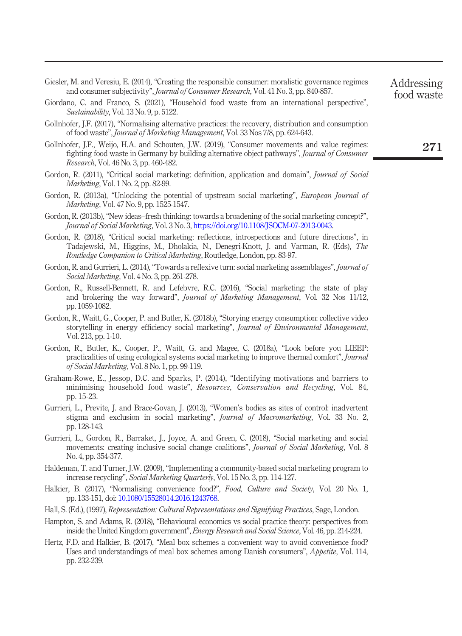<span id="page-15-15"></span>

| Giesler, M. and Veresiu, E. (2014), "Creating the responsible consumer: moralistic governance regimes |  |
|-------------------------------------------------------------------------------------------------------|--|
| and consumer subjectivity", <i>Journal of Consumer Research</i> , Vol. 41 No. 3, pp. 840-857.         |  |

- <span id="page-15-14"></span>Giordano, C. and Franco, S. (2021), "Household food waste from an international perspective", Sustainability, Vol. 13 No. 9, p. 5122.
- <span id="page-15-12"></span>Gollnhofer, J.F. (2017), "Normalising alternative practices: the recovery, distribution and consumption of food waste", Journal of Marketing Management, Vol. 33 Nos 7/8, pp. 624-643.
- <span id="page-15-13"></span>Gollnhofer, J.F., Weijo, H.A. and Schouten, J.W. (2019), "Consumer movements and value regimes: fighting food waste in Germany by building alternative object pathways", Journal of Consumer Research, Vol. 46 No. 3, pp. 460-482.
- <span id="page-15-9"></span>Gordon, R. (2011), "Critical social marketing: definition, application and domain", *Journal of Social* Marketing, Vol. 1 No. 2, pp. 82-99.
- <span id="page-15-2"></span>Gordon, R. (2013a), "Unlocking the potential of upstream social marketing", *European Journal of* Marketing, Vol. 47 No. 9, pp. 1525-1547.
- <span id="page-15-5"></span>Gordon, R. (2013b), "New ideas–fresh thinking: towards a broadening of the social marketing concept?", Journal of Social Marketing, Vol. 3 No. 3, <https://doi.org/10.1108/JSOCM-07-2013-0043>.
- <span id="page-15-4"></span>Gordon, R. (2018), "Critical social marketing: reflections, introspections and future directions", in Tadajewski, M., Higgins, M., Dholakia, N., Denegri-Knott, J. and Varman, R. (Eds), The Routledge Companion to Critical Marketing, Routledge, London, pp. 83-97.
- <span id="page-15-0"></span>Gordon, R. and Gurrieri, L. (2014), "Towards a reflexive turn: social marketing assemblages", *Journal of* Social Marketing, Vol. 4 No. 3, pp. 261-278.
- <span id="page-15-1"></span>Gordon, R., Russell-Bennett, R. and Lefebvre, R.C. (2016), "Social marketing: the state of play and brokering the way forward", Journal of Marketing Management, Vol. 32 Nos 11/12, pp. 1059-1082.
- <span id="page-15-8"></span>Gordon, R., Waitt, G., Cooper, P. and Butler, K. (2018b), "Storying energy consumption: collective video storytelling in energy efficiency social marketing", Journal of Environmental Management, Vol. 213, pp. 1-10.
- <span id="page-15-10"></span>Gordon, R., Butler, K., Cooper, P., Waitt, G. and Magee, C. (2018a), "Look before you LIEEP: practicalities of using ecological systems social marketing to improve thermal comfort", Journal of Social Marketing, Vol. 8 No. 1, pp. 99-119.
- <span id="page-15-18"></span>Graham-Rowe, E., Jessop, D.C. and Sparks, P. (2014), "Identifying motivations and barriers to minimising household food waste", *Resources*, *Conservation and Recycling*, Vol. 84, pp. 15-23.
- <span id="page-15-11"></span>Gurrieri, L., Previte, J. and Brace-Govan, J. (2013), "Women's bodies as sites of control: inadvertent stigma and exclusion in social marketing", Journal of Macromarketing, Vol. 33 No. 2, pp. 128-143.
- <span id="page-15-3"></span>Gurrieri, L., Gordon, R., Barraket, J., Joyce, A. and Green, C. (2018), "Social marketing and social movements: creating inclusive social change coalitions", *Journal of Social Marketing*, Vol. 8 No. 4, pp. 354-377.
- <span id="page-15-19"></span>Haldeman, T. and Turner, J.W. (2009), "Implementing a community-based social marketing program to increase recycling", Social Marketing Quarterly, Vol. 15 No. 3, pp. 114-127.
- <span id="page-15-16"></span>Halkier, B. (2017), "Normalising convenience food?", Food, Culture and Society, Vol. 20 No. 1, pp. 133-151, doi: [10.1080/15528014.2016.1243768](http://dx.doi.org/10.1080/15528014.2016.1243768).
- <span id="page-15-6"></span>Hall, S. (Ed.), (1997), Representation: Cultural Representations and Signifying Practices, Sage, London.
- <span id="page-15-7"></span>Hampton, S. and Adams, R. (2018), "Behavioural economics vs social practice theory: perspectives from inside the United Kingdom government", Energy Research and Social Science, Vol. 46, pp. 214-224.
- <span id="page-15-17"></span>Hertz, F.D. and Halkier, B. (2017), "Meal box schemes a convenient way to avoid convenience food? Uses and understandings of meal box schemes among Danish consumers", Appetite, Vol. 114, pp. 232-239.

271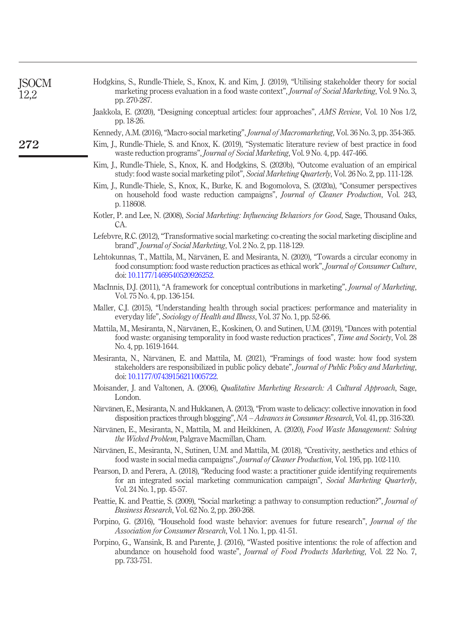<span id="page-16-20"></span><span id="page-16-19"></span><span id="page-16-18"></span><span id="page-16-17"></span><span id="page-16-16"></span><span id="page-16-15"></span><span id="page-16-14"></span><span id="page-16-13"></span><span id="page-16-12"></span><span id="page-16-11"></span><span id="page-16-10"></span><span id="page-16-9"></span><span id="page-16-8"></span><span id="page-16-7"></span><span id="page-16-6"></span><span id="page-16-5"></span><span id="page-16-4"></span><span id="page-16-3"></span><span id="page-16-2"></span><span id="page-16-1"></span><span id="page-16-0"></span>

| Hodgkins, S., Rundle-Thiele, S., Knox, K. and Kim, J. (2019), "Utilising stakeholder theory for social<br>marketing process evaluation in a food waste context", Journal of Social Marketing, Vol. 9 No. 3,<br>pp. 270-287.              |  |
|------------------------------------------------------------------------------------------------------------------------------------------------------------------------------------------------------------------------------------------|--|
| Jaakkola, E. (2020), "Designing conceptual articles: four approaches", AMS Review, Vol. 10 Nos 1/2,<br>pp. 18-26.                                                                                                                        |  |
| Kennedy, A.M. (2016), "Macro-social marketing", Journal of Macromarketing, Vol. 36 No. 3, pp. 354-365.                                                                                                                                   |  |
| Kim, J., Rundle-Thiele, S. and Knox, K. (2019), "Systematic literature review of best practice in food<br>waste reduction programs", Journal of Social Marketing, Vol. 9 No. 4, pp. 447-466.                                             |  |
| Kim, J., Rundle-Thiele, S., Knox, K. and Hodgkins, S. (2020b), "Outcome evaluation of an empirical<br>study: food waste social marketing pilot", Social Marketing Quarterly, Vol. 26 No. 2, pp. 111-128.                                 |  |
| Kim, J., Rundle-Thiele, S., Knox, K., Burke, K. and Bogomolova, S. (2020a), "Consumer perspectives<br>on household food waste reduction campaigns", Journal of Cleaner Production, Vol. 243,<br>p. 118608.                               |  |
| Kotler, P. and Lee, N. (2008), Social Marketing: Influencing Behaviors for Good, Sage, Thousand Oaks,<br>CA.                                                                                                                             |  |
| Lefebvre, R.C. (2012), "Transformative social marketing: co-creating the social marketing discipline and<br>brand", <i>Journal of Social Marketing</i> , Vol. 2 No. 2, pp. 118-129.                                                      |  |
| Lehtokunnas, T., Mattila, M., Närvänen, E. and Mesiranta, N. (2020), "Towards a circular economy in<br>food consumption: food waste reduction practices as ethical work", Journal of Consumer Culture,<br>doi: 10.1177/1469540520926252. |  |
| MacInnis, D.J. (2011), "A framework for conceptual contributions in marketing", Journal of Marketing,<br>Vol. 75 No. 4, pp. 136-154.                                                                                                     |  |
| Maller, C.J. (2015), "Understanding health through social practices: performance and materiality in<br>everyday life", Sociology of Health and Illness, Vol. 37 No. 1, pp. 52-66.                                                        |  |
| Mattila, M., Mesiranta, N., Närvänen, E., Koskinen, O. and Sutinen, U.M. (2019), "Dances with potential<br>food waste: organising temporality in food waste reduction practices", Time and Society, Vol. 28<br>No. 4, pp. 1619-1644.     |  |
| Mesiranta, N., Närvänen, E. and Mattila, M. (2021), "Framings of food waste: how food system<br>stakeholders are responsibilized in public policy debate", Journal of Public Policy and Marketing,<br>doi: 10.1177/07439156211005722.    |  |
| Moisander, J. and Valtonen, A. (2006), <i>Qualitative Marketing Research: A Cultural Approach</i> , Sage,<br>London.                                                                                                                     |  |
| Närvänen, E., Mesiranta, N. and Hukkanen, A. (2013), "From waste to delicacy: collective innovation in food<br>disposition practices through blogging", NA - Advances in Consumer Research, Vol. 41, pp. 316-320.                        |  |
| Närvänen, E., Mesiranta, N., Mattila, M. and Heikkinen, A. (2020), Food Waste Management: Solving<br><i>the Wicked Problem</i> , Palgrave Macmillan, Cham.                                                                               |  |
| Närvänen, E., Mesiranta, N., Sutinen, U.M. and Mattila, M. (2018), "Creativity, aesthetics and ethics of<br>food waste in social media campaigns", Journal of Cleaner Production, Vol. 195, pp. 102-110.                                 |  |
| Pearson, D. and Perera, A. (2018), "Reducing food waste: a practitioner guide identifying requirements<br>for an integrated social marketing communication campaign", Social Marketing Quarterly,<br>Vol. 24 No. 1, pp. 45-57.           |  |
| Peattie, K. and Peattie, S. (2009), "Social marketing: a pathway to consumption reduction?", <i>Journal of</i><br><i>Business Research, Vol. 62 No. 2, pp. 260-268.</i>                                                                  |  |
| Porpino, G. (2016), "Household food waste behavior: avenues for future research", <i>Journal of the</i><br>Association for Consumer Research, Vol. 1 No. 1, pp. 41-51.                                                                   |  |
| Porpino, G., Wansink, B. and Parente, J. (2016), "Wasted positive intentions: the role of affection and<br>abundance on household food waste", Journal of Food Products Marketing, Vol. 22 No. 7,<br>pp. 733-751.                        |  |

JSOCM 12,2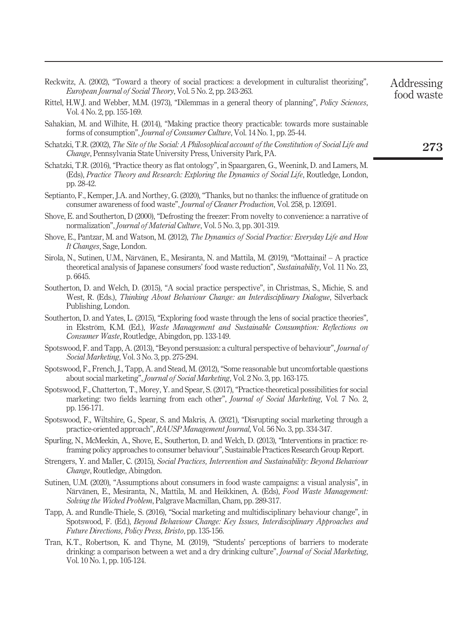<span id="page-17-16"></span><span id="page-17-10"></span><span id="page-17-6"></span><span id="page-17-1"></span>

| <i>European Journal of Social Theory, Vol.</i> 5 No. 2, pp. 243-263.                                                                                                                                                      | food waste |
|---------------------------------------------------------------------------------------------------------------------------------------------------------------------------------------------------------------------------|------------|
| Rittel, H.W.J. and Webber, M.M. (1973), "Dilemmas in a general theory of planning", <i>Policy Sciences</i> ,<br>Vol. 4 No. 2, pp. 155-169.                                                                                |            |
| Sahakian, M. and Wilhite, H. (2014), "Making practice theory practicable: towards more sustainable<br>forms of consumption", <i>Journal of Consumer Culture</i> , Vol. 14 No. 1, pp. 25-44.                               |            |
| Schatzki, T.R. (2002), The Site of the Social: A Philosophical account of the Constitution of Social Life and<br><i>Change</i> , Pennsylvania State University Press, University Park, PA.                                | 273        |
| Schatzki, T.R. (2016), "Practice theory as flat ontology", in Spaargaren, G., Weenink, D. and Lamers, M.<br>(Eds), Practice Theory and Research: Exploring the Dynamics of Social Life, Routledge, London,<br>pp. 28-42.  |            |
| Septianto, F., Kemper, J.A. and Northey, G. (2020), "Thanks, but no thanks: the influence of gratitude on<br>consumer awareness of food waste", <i>Journal of Cleaner Production</i> , Vol. 258, p. 120591.               |            |
| Shove, E. and Southerton, D (2000), "Defrosting the freezer: From novelty to convenience: a narrative of<br>normalization", <i>Journal of Material Culture</i> , Vol. 5 No. 3, pp. 301-319.                               |            |
| Shove, E., Pantzar, M. and Watson, M. (2012), <i>The Dynamics of Social Practice: Everyday Life and How</i><br>It Changes, Sage, London.                                                                                  |            |
| Sirola, N., Sutinen, U.M., Närvänen, E., Mesiranta, N. and Mattila, M. (2019), "Mottainai! – A practice<br>theoretical analysis of Japanese consumers' food waste reduction", Sustainability, Vol. 11 No. 23,<br>p. 6645. |            |
| Southerton, D. and Welch, D. (2015), "A social practice perspective", in Christmas, S., Michie, S. and                                                                                                                    |            |

Addressing

<span id="page-17-15"></span><span id="page-17-12"></span><span id="page-17-7"></span>West, R. (Eds.), Thinking About Behaviour Change: an Interdisciplinary Dialogue, Silverback Publishing, London.

<span id="page-17-5"></span>Reckwitz, A. (2002), "Toward a theory of social practices: a development in culturalist theorizing",

- <span id="page-17-14"></span>Southerton, D. and Yates, L. (2015), "Exploring food waste through the lens of social practice theories", in Ekström, K.M. (Ed.), Waste Management and Sustainable Consumption: Reflections on Consumer Waste, Routledge, Abingdon, pp. 133-149.
- <span id="page-17-2"></span>Spotswood, F. and Tapp, A. (2013), "Beyond persuasion: a cultural perspective of behaviour", Journal of Social Marketing, Vol. 3 No. 3, pp. 275-294.
- <span id="page-17-0"></span>Spotswood, F., French, J., Tapp, A. and Stead, M. (2012), "Some reasonable but uncomfortable questions about social marketing", Journal of Social Marketing, Vol. 2 No. 3, pp. 163-175.
- <span id="page-17-3"></span>Spotswood, F., Chatterton, T., Morey, Y. and Spear, S. (2017), "Practice-theoretical possibilities for social marketing: two fields learning from each other", Journal of Social Marketing, Vol. 7 No. 2, pp. 156-171.
- <span id="page-17-4"></span>Spotswood, F., Wiltshire, G., Spear, S. and Makris, A. (2021), "Disrupting social marketing through a practice-oriented approach", RAUSP Management Journal, Vol. 56 No. 3, pp. 334-347.
- <span id="page-17-8"></span>Spurling, N., McMeekin, A., Shove, E., Southerton, D. and Welch, D. (2013), "Interventions in practice: reframing policy approaches to consumer behaviour", Sustainable Practices Research Group Report.
- <span id="page-17-9"></span>Strengers, Y. and Maller, C. (2015), Social Practices, Intervention and Sustainability: Beyond Behaviour Change, Routledge, Abingdon.
- <span id="page-17-11"></span>Sutinen, U.M. (2020), "Assumptions about consumers in food waste campaigns: a visual analysis", in Närvänen, E., Mesiranta, N., Mattila, M. and Heikkinen, A. (Eds), Food Waste Management: Solving the Wicked Problem, Palgrave Macmillan, Cham, pp. 289-317.
- <span id="page-17-13"></span>Tapp, A. and Rundle-Thiele, S. (2016), "Social marketing and multidisciplinary behaviour change", in Spotswood, F. (Ed.), Beyond Behaviour Change: Key Issues, Interdisciplinary Approaches and Future Directions, Policy Press, Bristo, pp. 135-156.
- <span id="page-17-17"></span>Tran, K.T., Robertson, K. and Thyne, M. (2019), "Students' perceptions of barriers to moderate drinking: a comparison between a wet and a dry drinking culture", *Journal of Social Marketing*, Vol. 10 No. 1, pp. 105-124.